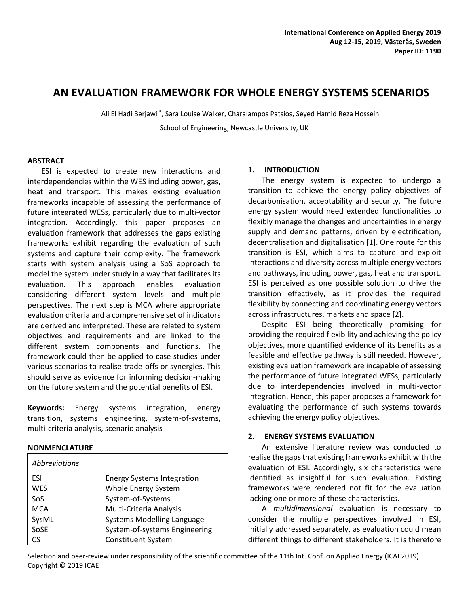# **AN EVALUATION FRAMEWORK FOR WHOLE ENERGY SYSTEMS SCENARIOS**

Ali El Hadi Berjawi \* , Sara Louise Walker, Charalampos Patsios, Seyed Hamid Reza Hosseini School of Engineering, Newcastle University, UK

### **ABSTRACT**

ESI is expected to create new interactions and interdependencies within the WES including power, gas, heat and transport. This makes existing evaluation frameworks incapable of assessing the performance of future integrated WESs, particularly due to multi-vector integration. Accordingly, this paper proposes an evaluation framework that addresses the gaps existing frameworks exhibit regarding the evaluation of such systems and capture their complexity. The framework starts with system analysis using a SoS approach to model the system under study in a way that facilitates its evaluation. This approach enables evaluation considering different system levels and multiple perspectives. The next step is MCA where appropriate evaluation criteria and a comprehensive set of indicators are derived and interpreted. These are related to system objectives and requirements and are linked to the different system components and functions. The framework could then be applied to case studies under various scenarios to realise trade-offs or synergies. This should serve as evidence for informing decision-making on the future system and the potential benefits of ESI.

**Keywords:** Energy systems integration, energy transition, systems engineering, system-of-systems, multi-criteria analysis, scenario analysis

#### **NONMENCLATURE**

| Abbreviations   |                                   |
|-----------------|-----------------------------------|
| ESI             | <b>Energy Systems Integration</b> |
| <b>WES</b>      | Whole Energy System               |
| So <sub>S</sub> | System-of-Systems                 |
| <b>MCA</b>      | Multi-Criteria Analysis           |
| SysML           | <b>Systems Modelling Language</b> |
| SoSE            | System-of-systems Engineering     |
| ٢٢              | <b>Constituent System</b>         |

# **1. INTRODUCTION**

The energy system is expected to undergo a transition to achieve the energy policy objectives of decarbonisation, acceptability and security. The future energy system would need extended functionalities to flexibly manage the changes and uncertainties in energy supply and demand patterns, driven by electrification, decentralisation and digitalisation [1]. One route for this transition is ESI, which aims to capture and exploit interactions and diversity across multiple energy vectors and pathways, including power, gas, heat and transport. ESI is perceived as one possible solution to drive the transition effectively, as it provides the required flexibility by connecting and coordinating energy vectors across infrastructures, markets and space [2].

Despite ESI being theoretically promising for providing the required flexibility and achieving the policy objectives, more quantified evidence of its benefits as a feasible and effective pathway is still needed. However, existing evaluation framework are incapable of assessing the performance of future integrated WESs, particularly due to interdependencies involved in multi-vector integration. Hence, this paper proposes a framework for evaluating the performance of such systems towards achieving the energy policy objectives.

# **2. ENERGY SYSTEMS EVALUATION**

An extensive literature review was conducted to realise the gaps that existing frameworks exhibit with the evaluation of ESI. Accordingly, six characteristics were identified as insightful for such evaluation. Existing frameworks were rendered not fit for the evaluation lacking one or more of these characteristics.

A *multidimensional* evaluation is necessary to consider the multiple perspectives involved in ESI, initially addressed separately, as evaluation could mean different things to different stakeholders. It is therefore

Selection and peer-review under responsibility of the scientific committee of the 11th Int. Conf. on Applied Energy (ICAE2019). Copyright © 2019 ICAE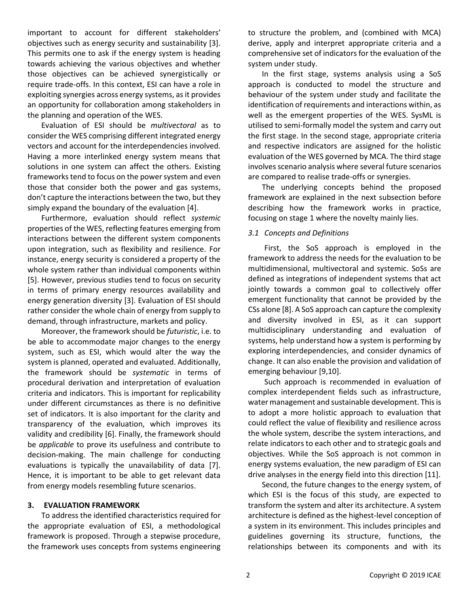important to account for different stakeholders' objectives such as energy security and sustainability [3]. This permits one to ask if the energy system is heading towards achieving the various objectives and whether those objectives can be achieved synergistically or require trade-offs. In this context, ESI can have a role in exploiting synergies across energy systems, as it provides an opportunity for collaboration among stakeholders in the planning and operation of the WES.

Evaluation of ESI should be *multivectoral* as to consider the WES comprising different integrated energy vectors and account for the interdependencies involved. Having a more interlinked energy system means that solutions in one system can affect the others. Existing frameworks tend to focus on the power system and even those that consider both the power and gas systems, don't capture the interactions between the two, but they simply expand the boundary of the evaluation [4].

Furthermore, evaluation should reflect *systemic* properties of the WES, reflecting features emerging from interactions between the different system components upon integration, such as flexibility and resilience. For instance, energy security is considered a property of the whole system rather than individual components within [5]. However, previous studies tend to focus on security in terms of primary energy resources availability and energy generation diversity [3]. Evaluation of ESI should rather consider the whole chain of energy from supply to demand, through infrastructure, markets and policy.

Moreover, the framework should be *futuristic*, i.e. to be able to accommodate major changes to the energy system, such as ESI, which would alter the way the system is planned, operated and evaluated. Additionally, the framework should be *systematic* in terms of procedural derivation and interpretation of evaluation criteria and indicators. This is important for replicability under different circumstances as there is no definitive set of indicators. It is also important for the clarity and transparency of the evaluation, which improves its validity and credibility [6]. Finally, the framework should be *applicable* to prove its usefulness and contribute to decision-making. The main challenge for conducting evaluations is typically the unavailability of data [7]. Hence, it is important to be able to get relevant data from energy models resembling future scenarios.

# **3. EVALUATION FRAMEWORK**

To address the identified characteristics required for the appropriate evaluation of ESI, a methodological framework is proposed. Through a stepwise procedure, the framework uses concepts from systems engineering to structure the problem, and (combined with MCA) derive, apply and interpret appropriate criteria and a comprehensive set of indicators for the evaluation of the system under study.

In the first stage, systems analysis using a SoS approach is conducted to model the structure and behaviour of the system under study and facilitate the identification of requirements and interactions within, as well as the emergent properties of the WES. SysML is utilised to semi-formally model the system and carry out the first stage. In the second stage, appropriate criteria and respective indicators are assigned for the holistic evaluation of the WES governed by MCA. The third stage involves scenario analysis where several future scenarios are compared to realise trade-offs or synergies.

The underlying concepts behind the proposed framework are explained in the next subsection before describing how the framework works in practice, focusing on stage 1 where the novelty mainly lies.

# *3.1 Concepts and Definitions*

First, the SoS approach is employed in the framework to address the needs for the evaluation to be multidimensional, multivectoral and systemic. SoSs are defined as integrations of independent systems that act jointly towards a common goal to collectively offer emergent functionality that cannot be provided by the CSs alone [8]. A SoS approach can capture the complexity and diversity involved in ESI, as it can support multidisciplinary understanding and evaluation of systems, help understand how a system is performing by exploring interdependencies, and consider dynamics of change. It can also enable the provision and validation of emerging behaviour [9,10].

Such approach is recommended in evaluation of complex interdependent fields such as infrastructure, water management and sustainable development. This is to adopt a more holistic approach to evaluation that could reflect the value of flexibility and resilience across the whole system, describe the system interactions, and relate indicators to each other and to strategic goals and objectives. While the SoS approach is not common in energy systems evaluation, the new paradigm of ESI can drive analyses in the energy field into this direction [11].

Second, the future changes to the energy system, of which ESI is the focus of this study, are expected to transform the system and alter its architecture. A system architecture is defined as the highest-level conception of a system in its environment. This includes principles and guidelines governing its structure, functions, the relationships between its components and with its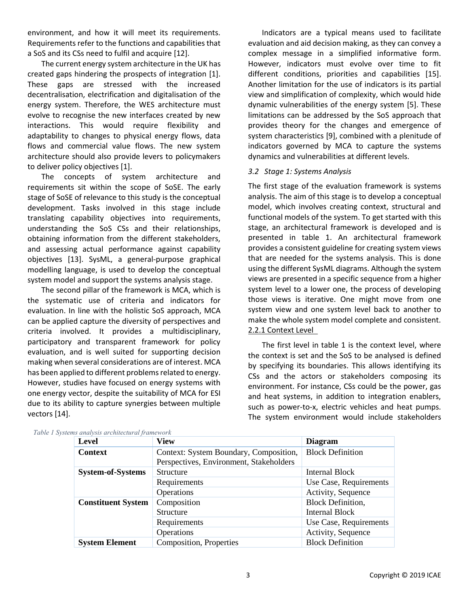environment, and how it will meet its requirements. Requirements refer to the functions and capabilities that a SoS and its CSs need to fulfil and acquire [12].

The current energy system architecture in the UK has created gaps hindering the prospects of integration [1]. These gaps are stressed with the increased decentralisation, electrification and digitalisation of the energy system. Therefore, the WES architecture must evolve to recognise the new interfaces created by new interactions. This would require flexibility and adaptability to changes to physical energy flows, data flows and commercial value flows. The new system architecture should also provide levers to policymakers to deliver policy objectives [1].

The concepts of system architecture and requirements sit within the scope of SoSE. The early stage of SoSE of relevance to this study is the conceptual development. Tasks involved in this stage include translating capability objectives into requirements, understanding the SoS CSs and their relationships, obtaining information from the different stakeholders, and assessing actual performance against capability objectives [13]. SysML, a general-purpose graphical modelling language, is used to develop the conceptual system model and support the systems analysis stage.

The second pillar of the framework is MCA, which is the systematic use of criteria and indicators for evaluation. In line with the holistic SoS approach, MCA can be applied capture the diversity of perspectives and criteria involved. It provides a multidisciplinary, participatory and transparent framework for policy evaluation, and is well suited for supporting decision making when several considerations are of interest. MCA has been applied to different problems related to energy. However, studies have focused on energy systems with one energy vector, despite the suitability of MCA for ESI due to its ability to capture synergies between multiple vectors [14].

Indicators are a typical means used to facilitate evaluation and aid decision making, as they can convey a complex message in a simplified informative form. However, indicators must evolve over time to fit different conditions, priorities and capabilities [15]. Another limitation for the use of indicators is its partial view and simplification of complexity, which would hide dynamic vulnerabilities of the energy system [5]. These limitations can be addressed by the SoS approach that provides theory for the changes and emergence of system characteristics [9], combined with a plenitude of indicators governed by MCA to capture the systems dynamics and vulnerabilities at different levels.

### *3.2 Stage 1: Systems Analysis*

The first stage of the evaluation framework is systems analysis. The aim of this stage is to develop a conceptual model, which involves creating context, structural and functional models of the system. To get started with this stage, an architectural framework is developed and is presented in table 1. An architectural framework provides a consistent guideline for creating system views that are needed for the systems analysis. This is done using the different SysML diagrams. Although the system views are presented in a specific sequence from a higher system level to a lower one, the process of developing those views is iterative. One might move from one system view and one system level back to another to make the whole system model complete and consistent. 2.2.1 Context Level

The first level in table 1 is the context level, where the context is set and the SoS to be analysed is defined by specifying its boundaries. This allows identifying its CSs and the actors or stakeholders composing its environment. For instance, CSs could be the power, gas and heat systems, in addition to integration enablers, such as power-to-x, electric vehicles and heat pumps. The system environment would include stakeholders

| Level                     | View                                    | <b>Diagram</b>           |
|---------------------------|-----------------------------------------|--------------------------|
| <b>Context</b>            | Context: System Boundary, Composition,  | <b>Block Definition</b>  |
|                           | Perspectives, Environment, Stakeholders |                          |
| <b>System-of-Systems</b>  | <b>Structure</b>                        | Internal Block           |
|                           | Requirements                            | Use Case, Requirements   |
|                           | Operations                              | Activity, Sequence       |
| <b>Constituent System</b> | Composition                             | <b>Block Definition,</b> |
|                           | <b>Structure</b>                        | Internal Block           |
|                           | Requirements                            | Use Case, Requirements   |
|                           | Operations                              | Activity, Sequence       |
| <b>System Element</b>     | Composition, Properties                 | <b>Block Definition</b>  |

|  |  |  | Table 1 Systems analysis architectural framework |  |
|--|--|--|--------------------------------------------------|--|
|--|--|--|--------------------------------------------------|--|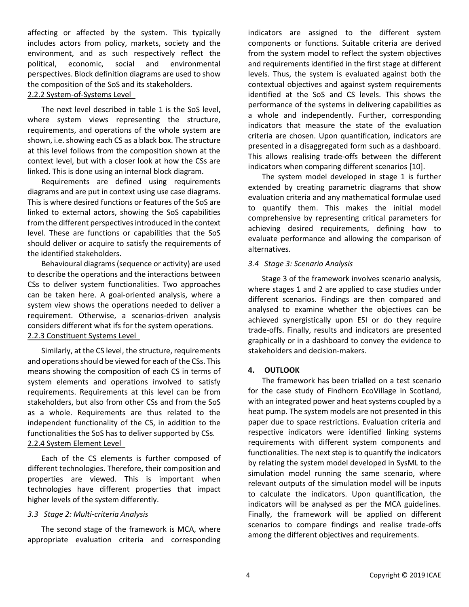affecting or affected by the system. This typically includes actors from policy, markets, society and the environment, and as such respectively reflect the political, economic, social and environmental perspectives. Block definition diagrams are used to show the composition of the SoS and its stakeholders. 2.2.2 System-of-Systems Level

The next level described in table 1 is the SoS level, where system views representing the structure, requirements, and operations of the whole system are shown, i.e. showing each CS as a black box. The structure at this level follows from the composition shown at the context level, but with a closer look at how the CSs are linked. This is done using an internal block diagram.

Requirements are defined using requirements diagrams and are put in context using use case diagrams. This is where desired functions or features of the SoS are linked to external actors, showing the SoS capabilities from the different perspectives introduced in the context level. These are functions or capabilities that the SoS should deliver or acquire to satisfy the requirements of the identified stakeholders.

Behavioural diagrams (sequence or activity) are used to describe the operations and the interactions between CSs to deliver system functionalities. Two approaches can be taken here. A goal-oriented analysis, where a system view shows the operations needed to deliver a requirement. Otherwise, a scenarios-driven analysis considers different what ifs for the system operations. 2.2.3 Constituent Systems Level

Similarly, at the CS level, the structure, requirements and operations should be viewed for each of the CSs. This means showing the composition of each CS in terms of system elements and operations involved to satisfy requirements. Requirements at this level can be from stakeholders, but also from other CSs and from the SoS as a whole. Requirements are thus related to the independent functionality of the CS, in addition to the functionalities the SoS has to deliver supported by CSs. 2.2.4 System Element Level

Each of the CS elements is further composed of different technologies. Therefore, their composition and properties are viewed. This is important when technologies have different properties that impact higher levels of the system differently.

#### *3.3 Stage 2: Multi-criteria Analysis*

The second stage of the framework is MCA, where appropriate evaluation criteria and corresponding indicators are assigned to the different system components or functions. Suitable criteria are derived from the system model to reflect the system objectives and requirements identified in the first stage at different levels. Thus, the system is evaluated against both the contextual objectives and against system requirements identified at the SoS and CS levels. This shows the performance of the systems in delivering capabilities as a whole and independently. Further, corresponding indicators that measure the state of the evaluation criteria are chosen. Upon quantification, indicators are presented in a disaggregated form such as a dashboard. This allows realising trade-offs between the different indicators when comparing different scenarios [10].

The system model developed in stage 1 is further extended by creating parametric diagrams that show evaluation criteria and any mathematical formulae used to quantify them. This makes the initial model comprehensive by representing critical parameters for achieving desired requirements, defining how to evaluate performance and allowing the comparison of alternatives.

### *3.4 Stage 3: Scenario Analysis*

Stage 3 of the framework involves scenario analysis, where stages 1 and 2 are applied to case studies under different scenarios. Findings are then compared and analysed to examine whether the objectives can be achieved synergistically upon ESI or do they require trade-offs. Finally, results and indicators are presented graphically or in a dashboard to convey the evidence to stakeholders and decision-makers.

#### **4. OUTLOOK**

The framework has been trialled on a test scenario for the case study of Findhorn EcoVillage in Scotland, with an integrated power and heat systems coupled by a heat pump. The system models are not presented in this paper due to space restrictions. Evaluation criteria and respective indicators were identified linking systems requirements with different system components and functionalities. The next step is to quantify the indicators by relating the system model developed in SysML to the simulation model running the same scenario, where relevant outputs of the simulation model will be inputs to calculate the indicators. Upon quantification, the indicators will be analysed as per the MCA guidelines. Finally, the framework will be applied on different scenarios to compare findings and realise trade-offs among the different objectives and requirements.